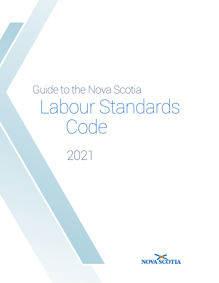# Guide to the Nova Scotia Labour Standards Code

2021

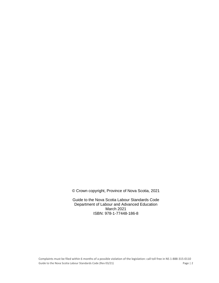© Crown copyright, Province of Nova Scotia, 2021

Guide to the Nova Scotia Labour Standards Code Department of Labour and Advanced Education March 2021 ISBN: 978-1-77448-186-8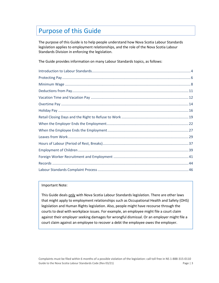# Purpose of this Guide

The purpose of this Guide is to help people understand how Nova Scotia Labour Standards legislation applies to employment relationships, and the role of the Nova Scotia Labour Standards Division in enforcing the legislation.

The Guide provides information on many Labour Standards topics, as follows:

#### Important Note:

This Guide deals only with Nova Scotia Labour Standards legislation. There are other laws that might apply to employment relationships such as Occupational Health and Safety (OHS) legislation and Human Rights legislation. Also, people might have recourse through the courts to deal with workplace issues. For example, an employee might file a court claim against their employer seeking damages for wrongful dismissal. Or an employer might file a court claim against an employee to recover a debt the employee owes the employer.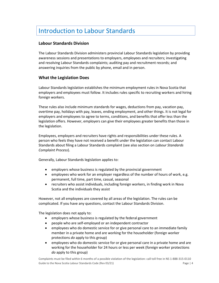# <span id="page-3-0"></span>Introduction to Labour Standards

# **Labour Standards Division**

The Labour Standards Division administers provincial Labour Standards legislation by providing awareness sessions and presentations to employers, employees and recruiters; investigating and resolving Labour Standards complaints; auditing pay and recruitment records; and answering inquiries from the public by phone, email and in person.

# **What the Legislation Does**

Labour Standards legislation establishes the minimum employment rules in Nova Scotia that employers and employees must follow. It includes rules specific to recruiting workers and hiring foreign workers.

These rules also include minimum standards for wages, deductions from pay, vacation pay, overtime pay, holidays with pay, leaves, ending employment, and other things. It is not legal for employers and employees to agree to terms, conditions, and benefits that offer less than the legislation offers. However, employers can give their employees greater benefits than those in the legislation.

Employees, employers and recruiters have rights and responsibilities under these rules. A person who feels they have not received a benefit under the legislation can contact Labour Standards about filing a Labour Standards complaint (see also section on *Labour Standards Complaint Process*).

Generally, Labour Standards legislation applies to:

- employers whose business is regulated by the provincial government
- employees who work for an employer regardless of the number of hours of work, e.g. permanent, full time, part time, casual, seasonal
- recruiters who assist individuals, including foreign workers, in finding work in Nova Scotia and the individuals they assist

However, not all employees are covered by all areas of the legislation. The rules can be complicated. If you have any questions, contact the Labour Standards Division.

The legislation does not apply to:

- employers whose business is regulated by the federal government
- people who are self-employed or an independent contractor
- employees who do domestic service for or give personal care to an immediate family member in a private home and are working for the householder (foreign worker protections *do* apply to this group)
- employees who do domestic service for or give personal care in a private home and are working for the householder for 24 hours or less per week (foreign worker protections *do* apply to this group)

Complaints must be filed within 6 months of a possible violation of the legislation: call toll free in NS 1-888-315-0110 Guide to the Nova Scotia Labour Standards Code (Rev 03/21) Code Processes and the Page | 4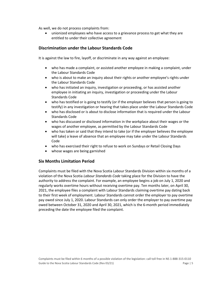As well, we do not process complaints from:

• unionized employees who have access to a grievance process to get what they are entitled to under their collective agreement

# **Discrimination under the Labour Standards Code**

It is against the law to fire, layoff, or discriminate in any way against an employee:

- who has made a complaint, or assisted another employee in making a complaint, under the Labour Standards Code
- who is about to make an inquiry about their rights or another employee's rights under the Labour Standards Code
- who has initiated an inquiry, investigation or proceeding, or has assisted another employee in initiating an inquiry, investigation or proceeding under the Labour Standards Code
- who has testified or is going to testify (or if the employer believes that person is going to testify) in any investigation or hearing that takes place under the Labour Standards Code
- who has disclosed or is about to disclose information that is required under the Labour Standards Code
- who has discussed or disclosed information in the workplace about their wages or the wages of another employee, as permitted by the Labour Standards Code
- who has taken or said that they intend to take (or if the employer believes the employee will take) a leave of absence that an employee may take under the Labour Standards Code
- who has exercised their right to refuse to work on Sundays or Retail Closing Days
- whose wages are being garnished

# **Six Months Limitation Period**

Complaints must be filed with the Nova Scotia Labour Standards Division within six months of a violation of the Nova Scotia *Labour Standards Code* taking place for the Division to have the authority to address the complaint. For example, an employee begins a job on July 1, 2020 and regularly works overtime hours without receiving overtime pay. Ten months later, on April 30, 2021, the employee files a complaint with Labour Standards claiming overtime pay dating back to their first week of employment. Labour Standards cannot order the employer to pay overtime pay owed since July 1, 2020. Labour Standards can only order the employer to pay overtime pay owed between October 31, 2020 and April 30, 2021, which is the 6-month period immediately preceding the date the employee filed the complaint.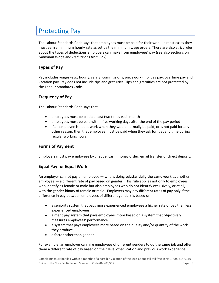# <span id="page-5-0"></span>Protecting Pay

The Labour Standards Code says that employees must be paid for their work. In most cases they must earn a minimum hourly rate as set by the minimum wage orders. There are also strict rules about the types of deductions employers can make from employees' pay (see also sections on *Minimum Wage* and *Deductions from Pay*).

# **Types of Pay**

Pay includes wages (e.g., hourly, salary, commissions, piecework), holiday pay, overtime pay and vacation pay. Pay does not include tips and gratuities. Tips and gratuities are not protected by the Labour Standards Code.

# **Frequency of Pay**

The Labour Standards Code says that:

- employees must be paid at least two times each month
- employees must be paid within five working days after the end of the pay period
- if an employee is not at work when they would normally be paid, or is not paid for any other reason, then that employee must be paid when they ask for it at any time during regular working hours

# **Forms of Payment**

Employers must pay employees by cheque, cash, money order, email transfer or direct deposit.

# **Equal Pay for Equal Work**

An employer cannot pay an employee — who is doing **substantially the same work** as another employee — a different rate of pay based on gender. This rule applies not only to employees who identify as female or male but also employees who do not identify exclusively, or at all, with the gender binary of female or male. Employers may pay different rates of pay only if the difference in pay between employees of different genders is based on:

- a seniority system that pays more experienced employees a higher rate of pay than less experienced employees
- a merit pay system that pays employees more based on a system that objectively measures employees' performance
- a system that pays employees more based on the quality and/or quantity of the work they produce
- a factor other than gender

For example, an employer can hire employees of different genders to do the same job and offer them a different rate of pay based on their level of education and previous work experience.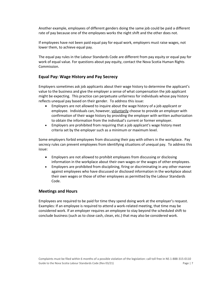Another example, employees of different genders doing the same job could be paid a different rate of pay because one of the employees works the night shift and the other does not.

If employees have not been paid equal pay for equal work, employers must raise wages, not lower them, to achieve equal pay.

The equal pay rules in the Labour Standards Code are different from pay equity or equal pay for work of equal value. For questions about pay equity, contact the Nova Scotia Human Rights Commission.

# **Equal Pay: Wage History and Pay Secrecy**

Employers sometimes ask job applicants about their wage history to determine the applicant's value to the business and give the employer a sense of what compensation the job applicant might be expecting. This practice can perpetuate unfairness for individuals whose pay history reflects unequal pay based on their gender. To address this issue:

- Employers are not allowed to inquire about the wage history of a job applicant or employee. Individuals can, however, voluntarily choose to provide an employer with confirmation of their wage history by providing the employer with written authorization to obtain the information from the individual's current or former employer.
- Employers are prohibited from requiring that a job applicant's wage history meet criteria set by the employer such as a minimum or maximum level.

Some employers forbid employees from discussing their pay with others in the workplace. Pay secrecy rules can prevent employees from identifying situations of unequal pay. To address this issue:

- Employers are not allowed to prohibit employees from discussing or disclosing information in the workplace about their own wages or the wages of other employees.
- Employers are prohibited from disciplining, firing or discriminating in any other manner against employees who have discussed or disclosed information in the workplace about their own wages or those of other employees as permitted by the Labour Standards Code.

# **Meetings and Hours**

Employees are required to be paid for time they spend doing work at the employer's request. Examples: If an employee is required to attend a work-related meeting, that time may be considered work. If an employer requires an employee to stay beyond the scheduled shift to conclude business (such as to close cash, clean, etc.) that may also be considered work.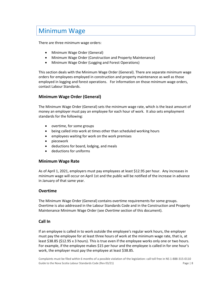# <span id="page-7-0"></span>Minimum Wage

There are three minimum wage orders:

- Minimum Wage Order (General)
- Minimum Wage Order (Construction and Property Maintenance)
- Minimum Wage Order (Logging and Forest Operations)

This section deals with the Minimum Wage Order (General). There are separate minimum wage orders for employees employed in construction and property maintenance as well as those employed in logging and forest operations. For information on those minimum wage orders, contact Labour Standards.

# **Minimum Wage Order (General)**

The Minimum Wage Order (General) sets the minimum wage rate, which is the least amount of money an employer must pay an employee for each hour of work. It also sets employment standards for the following:

- overtime, for some groups
- being called into work at times other than scheduled working hours
- employees waiting for work on the work premises
- piecework
- deductions for board, lodging, and meals
- deductions for uniforms

#### **Minimum Wage Rate**

As of April 1, 2021, employers must pay employees at least \$12.95 per hour. Any increases in minimum wage will occur on April 1st and the public will be notified of the increase in advance in January of that same year.

#### **Overtime**

The Minimum Wage Order (General) contains overtime requirements for some groups. Overtime is also addressed in the Labour Standards Code and in the Construction and Property Maintenance Minimum Wage Order (see *Overtime* section of this document).

#### **Call In**

If an employee is called in to work outside the employee's regular work hours, the employer must pay the employee for at least three hours of work at the minimum wage rate, that is, at least \$38.85 (\$12.95 x 3 hours). This is true even if the employee works only one or two hours. For example, if the employee makes \$15 per hour and the employee is called in for one hour's work, the employer must pay the employee at least \$38.85.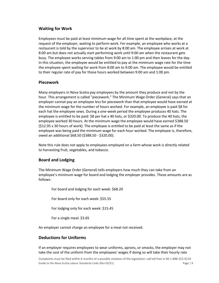# **Waiting for Work**

Employees must be paid at least minimum wage for all time spent at the workplace, at the request of the employer, waiting to perform work. For example, an employee who works at a restaurant is told by the supervisor to be at work by 8:00 am. The employee arrives at work at 8:00 am but does not actually start performing work until 9:00 am when the restaurant gets busy. The employee works serving tables from 9:00 am to 1:00 pm and then leaves for the day. In this situation, the employee would be entitled to pay at the minimum wage rate for the time the employee spent waiting for work from 8:00 am to 9:00 am. The employee would be entitled to their regular rate of pay for those hours worked between 9:00 am and 1:00 pm.

# **Piecework**

Many employers in Nova Scotia pay employees by the amount they produce and not by the hour. This arrangement is called "piecework." The Minimum Wage Order (General) says that an employer cannot pay an employee less for piecework than that employee would have earned at the minimum wage for the number of hours worked. For example, an employee is paid \$8 for each hat the employee sews. During a one-week period the employee produces 40 hats. The employee is entitled to be paid: \$8 per hat x 40 hats, or \$320.00. To produce the 40 hats, the employee worked 30 hours. At the minimum wage the employee would have earned \$388.50 (\$12.95 x 30 hours of work). The employee is entitled to be paid at least the same as if the employee was being paid the minimum wage for each hour worked. The employee is, therefore, owed an additional \$68.50 (\$388.50 - \$320.00).

Note this rule does not apply to employees employed on a farm whose work is directly related to harvesting fruit, vegetables, and tobacco.

# **Board and Lodging**

The Minimum Wage Order (General) tells employers how much they can take from an employee's minimum wage for board and lodging the employer provides. These amounts are as follows:

For board and lodging for each week: \$68.20

For board only for each week: \$55.55

For lodging only for each week: \$15.45

For a single meal: \$3.65

An employer cannot charge an employee for a meal not received.

# **Deductions for Uniforms**

If an employer requires employees to wear uniforms, aprons, or smocks, the employer may not take the cost of the uniform from the employees' wages if doing so will take their hourly rate

Complaints must be filed within 6 months of a possible violation of the legislation: call toll free in NS 1-888-315-0110 Guide to the Nova Scotia Labour Standards Code (Rev 03/21) Code Page | 9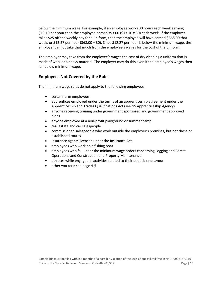below the minimum wage. For example, if an employee works 30 hours each week earning \$13.10 per hour then the employee earns \$393.00 (\$13.10 x 30) each week. If the employer takes \$25 off the weekly pay for a uniform, then the employee will have earned \$368.00 that week, or \$12.27 per hour (368.00  $\div$  30). Since \$12.27 per hour is below the minimum wage, the employer cannot take that much from the employee's wages for the cost of the uniform.

The employer may take from the employee's wages the cost of dry cleaning a uniform that is made of wool or a heavy material. The employer may do this even if the employee's wages then fall below minimum wage.

# **Employees Not Covered by the Rules**

The minimum wage rules do not apply to the following employees:

- certain farm employees
- apprentices employed under the terms of an apprenticeship agreement under the Apprenticeship and Trades Qualifications Act (see NS Apprenticeship Agency)
- anyone receiving training under government sponsored and government approved plans
- anyone employed at a non-profit playground or summer camp
- real estate and car salespeople
- commissioned salespeople who work outside the employer's premises, but not those on established routes
- insurance agents licensed under the Insurance Act
- employees who work on a fishing boat
- employees who fall under the minimum wage orders concerning Logging and Forest Operations and Construction and Property Maintenance
- athletes while engaged in activities related to their athletic endeavour
- other workers: see page 4-5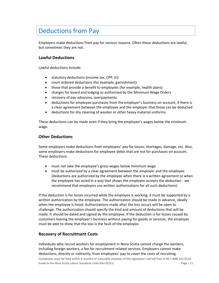# <span id="page-10-0"></span>Deductions from Pay

Employers make deductions from pay for various reasons. Often these deductions are lawful, but sometimes they are not.

# **Lawful Deductions**

Lawful deductions include:

- statutory deductions (income tax, CPP, EI)
- court ordered deductions (for example, garnishment)
- those that provide a benefit to employees (for example, health plans)
- charges for board and lodging as authorized by the Minimum Wage Orders
- recovery of pay advances, overpayments
- deductions for employee purchases from the employer's business on account, if there is a clear agreement between the employee and the employer that these can be deducted
- deductions for dry cleaning of woolen or other heavy material uniforms

These deductions can be made even if they bring the employee's wages below the minimum wage.

# **Other Deductions**

Some employers make deductions from employees' pay for losses, shortages, damage, etc. Also, some employers make deductions for employee debts that are not for purchases on account. These deductions:

- must not take the employee's gross wages below minimum wage
- must be authorized by a clear agreement between the employer and the employee (deductions are authorized by the employee when there is a written agreement or when the employee has acted in a way that shows the employee accepts the deduction - we recommend that employers use written authorizations for all such deductions)

If the deduction is for losses incurred while the employee is working, it must be supported by a written authorization by the employee. The authorization should be made in advance, ideally when the employee is hired. Authorizations made after the loss occurs will be open to challenge. The authorization should specify the kind and amount of deductions that will be made. It should be dated and signed by the employee. If the deduction is for losses caused by customers leaving the employer's business without paying for goods or services, the employer must be able to show that the loss is the fault of the employee.

# **Recovery of Recruitment Costs**

Individuals who recruit workers for employment in Nova Scotia cannot charge the workers, including foreign workers, a fee for recruitment related services. Employers cannot make deductions, directly or indirectly, from employees' pay to cover the costs of recruiting.

Complaints must be filed within 6 months of a possible violation of the legislation: call toll free in NS 1-888-315-0110 Guide to the Nova Scotia Labour Standards Code (Rev 03/21) Code Processors Controller and Department of the Page | 11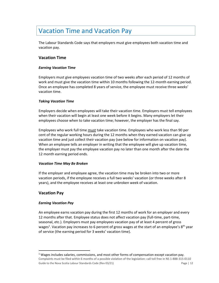# <span id="page-11-0"></span>Vacation Time and Vacation Pay

The Labour Standards Code says that employers must give employees both vacation time and vacation pay.

# **Vacation Time**

#### *Earning Vacation Time*

Employers must give employees vacation time of two weeks after each period of 12 months of work and must give the vacation time within 10 months following the 12-month earning period. Once an employee has completed 8 years of service, the employee must receive three weeks' vacation time.

#### *Taking Vacation Time*

Employers decide when employees will take their vacation time. Employers must tell employees when their vacation will begin at least one week before it begins. Many employers let their employees choose when to take vacation time; however, the employer has the final say.

Employees who work full time must take vacation time. Employees who work less than 90 per cent of the regular working hours during the 12 months when they earned vacation can give up vacation time and just collect their vacation pay (see below for information on vacation pay). When an employee tells an employer in writing that the employee will give up vacation time, the employer must pay the employee vacation pay no later than one month after the date the 12 month earning period ends.

#### *Vacation Time May Be Broken*

If the employer and employee agree, the vacation time may be broken into two or more vacation periods, if the employee receives a full two weeks' vacation (or three weeks after 8 years), and the employee receives at least one unbroken week of vacation.

# **Vacation Pay**

#### *Earning Vacation Pay*

An employee earns vacation pay during the first 12 months of work for an employer and every 12 months after that. Employee status does not affect vacation pay (full-time, part-time, seasonal, etc.). Employers must pay employees vacation pay of at least 4 percent of gross wages<sup>1</sup>. Vacation pay increases to 6 percent of gross wages at the start of an employee's 8<sup>th</sup> year of service (the earning period for 3 weeks' vacation time).

Complaints must be filed within 6 months of a possible violation of the legislation: call toll free in NS 1-888-315-0110 Guide to the Nova Scotia Labour Standards Code (Rev 03/21) Code Processors Controller and Department of the Page | 12  $1$  Wages includes salaries, commissions, and most other forms of compensation except vacation pay.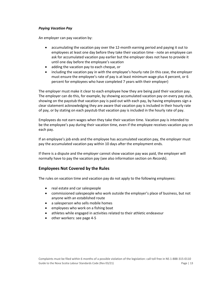#### *Paying Vacation Pay*

An employer can pay vacation by:

- accumulating the vacation pay over the 12-month earning period and paying it out to employees at least one day before they take their vacation time - note an employee can ask for accumulated vacation pay earlier but the employer does not have to provide it until one day before the employee's vacation
- adding the vacation pay to each cheque, or
- including the vacation pay in with the employee's hourly rate (in this case, the employer must ensure the employee's rate of pay is at least minimum wage plus 4 percent, or 6 percent for employees who have completed 7 years with their employer)

The employer must make it clear to each employee how they are being paid their vacation pay. The employer can do this, for example, by showing accumulated vacation pay on every pay stub, showing on the paystub that vacation pay is paid out with each pay, by having employees sign a clear statement acknowledging they are aware that vacation pay is included in their hourly rate of pay, or by stating on each paystub that vacation pay is included in the hourly rate of pay.

Employees do not earn wages when they take their vacation time. Vacation pay is intended to be the employee's pay during their vacation time, even if the employee receives vacation pay on each pay.

If an employee's job ends and the employee has accumulated vacation pay, the employer must pay the accumulated vacation pay within 10 days after the employment ends.

If there is a dispute and the employer cannot show vacation pay was paid, the employer will normally have to pay the vacation pay (see also information section on *Records*).

# **Employees Not Covered by the Rules**

The rules on vacation time and vacation pay do not apply to the following employees:

- real estate and car salespeople
- commissioned salespeople who work outside the employer's place of business, but not anyone with an established route
- a salesperson who sells mobile homes
- employees who work on a fishing boat
- athletes while engaged in activities related to their athletic endeavour
- other workers: see page 4-5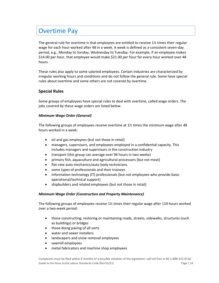# <span id="page-13-0"></span>Overtime Pay

The general rule for overtime is that employees are entitled to receive 1½ times their regular wage for each hour worked after 48 in a week. A week is defined as a consistent seven-day period, e.g., Monday to Sunday, Wednesday to Tuesday. For example, if an employee makes \$14.00 per hour, that employee would make \$21.00 per hour for every hour worked over 48 hours.

These rules also apply to some salaried employees. Certain industries are characterized by irregular working hours and conditions and do not follow the general rule. Some have special rules about overtime and some others are not covered by overtime.

# **Special Rules**

Some groups of employees have special rules to deal with overtime, called wage orders. The jobs covered by these wage orders are listed below.

#### *Minimum Wage Order (General)*

The following groups of employees receive overtime at  $1\frac{1}{2}$  times the minimum wage after 48 hours worked in a week:

- oil and gas employees (but not those in retail)
- managers, supervisors, and employees employed in a confidential capacity. This includes managers and supervisors in the construction industry
- transport (this group can average over 96 hours in two weeks)
- primary fish, aquaculture and agricultural processors (but not meat)
- flat-rate auto mechanics/auto body technicians
- some types of professionals and their trainees
- information technology (IT) professionals (but not employees who provide basic operational/technical support)
- shipbuilders and related employees (but not those in retail)

#### *Minimum Wage Order (Construction and Property Maintenance)*

The following groups of employees receive 1½ times their regular wage after 110 hours worked over a two-week period:

- those constructing, restoring or maintaining roads, streets, sidewalks, structures (such as buildings) or bridges
- those doing paving of all sorts
- water and sewer installers
- landscapers and snow removal employees
- sawmill employees
- metal fabricators and machine shop employees

Complaints must be filed within 6 months of a possible violation of the legislation: call toll free in NS 1-888-315-0110 Guide to the Nova Scotia Labour Standards Code (Rev 03/21) Code Processors Controller and Department of the Page | 14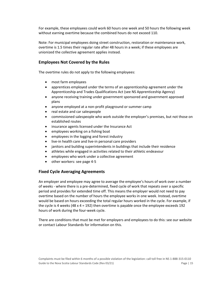For example, these employees could work 60 hours one week and 50 hours the following week without earning overtime because the combined hours do not exceed 110.

Note: For municipal employees doing street construction, restoration or maintenance work, overtime is 1.5 times their regular rate after 48 hours in a week; if these employees are unionized the collective agreement applies instead.

# **Employees Not Covered by the Rules**

The overtime rules do not apply to the following employees:

- most farm employees
- apprentices employed under the terms of an apprenticeship agreement under the Apprenticeship and Trades Qualifications Act (see NS Apprenticeship Agency)
- anyone receiving training under government sponsored and government approved plans
- anyone employed at a non-profit playground or summer camp
- real estate and car salespeople
- commissioned salespeople who work outside the employer's premises, but not those on established routes
- insurance agents licensed under the Insurance Act
- employees working on a fishing boat
- employees in the logging and forest industry
- live-in health care and live-in personal care providers
- janitors and building superintendents in buildings that include their residence
- athletes while engaged in activities related to their athletic endeavour
- employees who work under a collective agreement
- other workers: see page 4-5

# **Fixed Cycle Averaging Agreements**

An employer and employee may agree to average the employee's hours of work over a number of weeks - where there is a pre-determined, fixed cycle of work that repeats over a specific period and provides for extended time off. This means the employer would not need to pay overtime based on the number of hours the employee works in one week. Instead, overtime would be based on hours exceeding the total regular hours worked in the cycle. For example, if the cycle is 4 weeks (48  $\times$  4 = 192) then overtime is payable once the employee exceeds 192 hours of work during the four-week cycle.

There are conditions that must be met for employers and employees to do this: see our website or contact Labour Standards for information on this.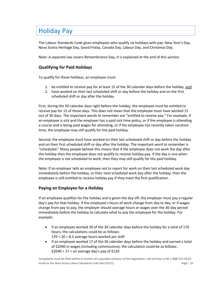# <span id="page-15-0"></span>Holiday Pay

The Labour Standards Code gives employees who qualify six holidays with pay: New Year's Day, Nova Scotia Heritage Day, Good Friday, Canada Day, Labour Day, and Christmas Day.

Note: A separate law covers Remembrance Day; it is explained at the end of this section.

# **Qualifying for Paid Holidays**

To qualify for these holidays, an employee must:

- 1. be entitled to receive pay for at least 15 of the 30 calendar days before the holiday, and
- 2. have worked on their last scheduled shift or day before the holiday and on the first scheduled shift or day after the holiday

First, during the 30 calendar days right before the holiday, the employee must be entitled to receive pay for 15 of those days. This does not mean that the employee must have worked 15 out of 30 days. The important words to remember are "entitled to receive pay." For example, if an employee is sick and the employer has a paid sick time policy, or if the employee is attending a course and is being paid wages for attending, or if the employee has recently taken vacation time, the employee may still qualify for the paid holiday.

Second, the employee must have worked on their last scheduled shift or day before the holiday and on their first scheduled shift or day after the holiday. The important word to remember is "scheduled." Many people believe this means that if the employee does not work the day after the holiday then the employee does not qualify to receive holiday pay. If the day is one when the employee is not scheduled to work, then they may still qualify for the paid holiday.

Note: If an employer tells an employee not to report for work on their last scheduled work day immediately before the holiday, or their next scheduled work day after the holiday, then the employee is still entitled to receive holiday pay if they meet the first qualification.

# **Paying an Employee for a Holiday**

If an employee qualifies for the holiday and is given the day off, the employer must pay a regular day's pay for that holiday. If the employee's hours of work change from day to day, or if wages change from pay to pay, the employer should average hours or wages over the 30-day period immediately before the holiday to calculate what to pay the employee for the holiday. For example:

- if an employee worked 20 of the 30 calendar days before the holiday for a total of 170 hours, the calculations could be as follows:  $170 \div 20 = 8.5$  average hours worked per shift
- if an employee worked 17 of the 30 calendar days before the holiday and earned a total of \$2040 in wages (including commissions), the calculation could be as follows:  $$2040 \div 17 =$  an average day's pay of  $$120$

Complaints must be filed within 6 months of a possible violation of the legislation: call toll free in NS 1-888-315-0110 Guide to the Nova Scotia Labour Standards Code (Rev 03/21) Code Processors Controller and Department of the Page | 16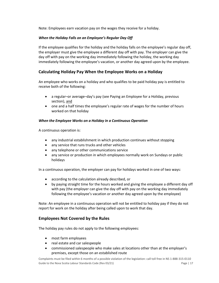Note: Employees earn vacation pay on the wages they receive for a holiday.

#### *When the Holiday Falls on an Employee's Regular Day Off*

If the employee qualifies for the holiday and the holiday falls on the employee's regular day off, the employer must give the employee a different day off with pay. The employer can give the day off with pay on the working day immediately following the holiday, the working day immediately following the employee's vacation, or another day agreed upon by the employee.

# **Calculating Holiday Pay When the Employee Works on a Holiday**

An employee who works on a holiday and who qualifies to be paid holiday pay is entitled to receive both of the following:

- a regular–or average–day's pay (see Paying an Employee for a Holiday, previous section), and
- one and a half times the employee's regular rate of wages for the number of hours worked on that holiday

#### *When the Employee Works on a Holiday in a Continuous Operation*

A continuous operation is:

- any industrial establishment in which production continues without stopping
- any service that runs trucks and other vehicles
- any telephone or other communications service
- any service or production in which employees normally work on Sundays or public holidays

In a continuous operation, the employer can pay for holidays worked in one of two ways:

- according to the calculation already described, or
- by paying straight time for the hours worked and giving the employee a different day off with pay (the employer can give the day off with pay on the working day immediately following the employee's vacation or another day agreed upon by the employee)

Note: An employee in a continuous operation will not be entitled to holiday pay if they do not report for work on the holiday after being called upon to work that day.

#### **Employees Not Covered by the Rules**

The holiday pay rules do not apply to the following employees:

- most farm employees
- real estate and car salespeople
- commissioned salespeople who make sales at locations other than at the employer's premises, except those on an established route

Complaints must be filed within 6 months of a possible violation of the legislation: call toll free in NS 1-888-315-0110 Guide to the Nova Scotia Labour Standards Code (Rev 03/21) Code Property Controller Magnetic Page | 17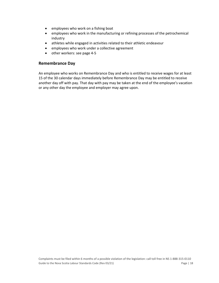- employees who work on a fishing boat
- employees who work in the manufacturing or refining processes of the petrochemical industry
- athletes while engaged in activities related to their athletic endeavour
- employees who work under a collective agreement
- other workers: see page 4-5

#### **Remembrance Day**

An employee who works on Remembrance Day and who is entitled to receive wages for at least 15 of the 30 calendar days immediately before Remembrance Day may be entitled to receive another day off with pay. That day with pay may be taken at the end of the employee's vacation or any other day the employee and employer may agree upon.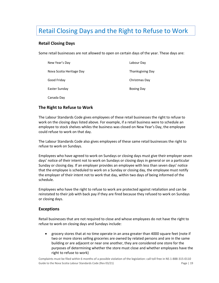# <span id="page-18-0"></span>Retail Closing Days and the Right to Refuse to Work

# **Retail Closing Days**

Some retail businesses are not allowed to open on certain days of the year. These days are:

| New Year's Day           | Labour Day              |
|--------------------------|-------------------------|
| Nova Scotia Heritage Day | <b>Thanksgiving Day</b> |
| Good Friday              | Christmas Day           |
| Easter Sunday            | <b>Boxing Day</b>       |
| Canada Day               |                         |

# **The Right to Refuse to Work**

The Labour Standards Code gives employees of these retail businesses the right to refuse to work on the closing days listed above. For example, if a retail business were to schedule an employee to stock shelves whiles the business was closed on New Year's Day, the employee could refuse to work on that day.

The Labour Standards Code also gives employees of these same retail businesses the right to refuse to work on Sundays.

Employees who have agreed to work on Sundays or closing days must give their employer seven days' notice of their intent not to work on Sundays or closing days in general or on a particular Sunday or closing day. If an employer provides an employee with less than seven days' notice that the employee is scheduled to work on a Sunday or closing day, the employee must notify the employer of their intent not to work that day, within two days of being informed of the schedule.

Employees who have the right to refuse to work are protected against retaliation and can be reinstated to their job with back pay if they are fired because they refused to work on Sundays or closing days.

# **Exceptions**

Retail businesses that are not required to close and whose employees do not have the right to refuse to work on closing days and Sundays include:

• grocery stores that at no time operate in an area greater than 4000 square feet (note if two or more stores selling groceries are owned by related persons and are in the same building or are adjacent or near one another, they are considered one store for the purposes of determining whether the store must close and whether employees have the right to refuse to work)

Complaints must be filed within 6 months of a possible violation of the legislation: call toll free in NS 1-888-315-0110 Guide to the Nova Scotia Labour Standards Code (Rev 03/21) Code Processor Code (Processor Page | 19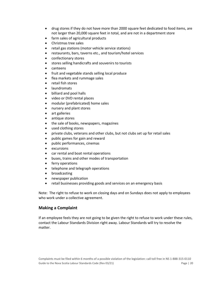- drug stores if they do not have more than 2000 square feet dedicated to food items, are not larger than 20,000 square feet in total, and are not in a department store
- farm sales of agricultural products
- Christmas tree sales
- retail gas stations (motor vehicle service stations)
- restaurants, bars, taverns etc., and tourism/hotel services
- confectionary stores
- stores selling handicrafts and souvenirs to tourists
- canteens
- fruit and vegetable stands selling local produce
- flea markets and rummage sales
- retail fish stores
- laundromats
- billiard and pool halls
- video or DVD rental places
- modular (prefabricated) home sales
- nursery and plant stores
- art galleries
- antique stores
- the sale of books, newspapers, magazines
- used clothing stores
- private clubs, veterans and other clubs, but not clubs set up for retail sales
- public games for gain and reward
- public performances, cinemas
- excursions
- car rental and boat rental operations
- buses, trains and other modes of transportation
- ferry operations
- telephone and telegraph operations
- broadcasting
- newspaper publication
- retail businesses providing goods and services on an emergency basis

Note: The right to refuse to work on closing days and on Sundays does not apply to employees who work under a collective agreement.

# **Making a Complaint**

If an employee feels they are not going to be given the right to refuse to work under these rules, contact the Labour Standards Division right away. Labour Standards will try to resolve the matter.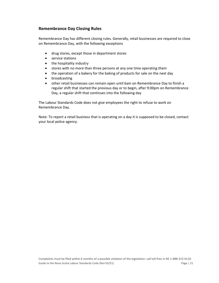# **Remembrance Day Closing Rules**

Remembrance Day has different closing rules. Generally, retail businesses are required to close on Remembrance Day, with the following exceptions

- drug stores, except those in department stores
- service stations
- the hospitality industry
- stores with no more than three persons at any one time operating them
- the operation of a bakery for the baking of products for sale on the next day
- broadcasting
- other retail businesses can remain open until 6am on Remembrance Day to finish a regular shift that started the previous day or to begin, after 9:00pm on Remembrance Day, a regular shift that continues into the following day

The Labour Standards Code does not give employees the right to refuse to work on Remembrance Day.

Note: To report a retail business that is operating on a day it is supposed to be closed, contact your local police agency.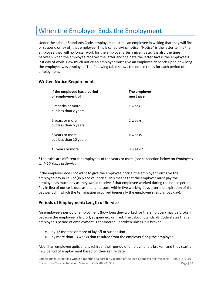# <span id="page-21-0"></span>When the Employer Ends the Employment

Under the Labour Standards Code, employers must tell an employee in writing that they will fire or suspend or lay off that employee. This is called giving notice. "Notice" is the letter telling the employee they will no longer work for the employer after a given date. It is also the time between when the employee receives the letter and the date the letter says is the employee's last day of work. How much notice an employer must give an employee depends upon how long the employee was employed. The following table shows the notice times for each period of employment.

# **Written Notice Requirements**

| If the employee has a period<br>of employment of | The employer<br>must give |
|--------------------------------------------------|---------------------------|
| 3 months or more<br>but less than 2 years        | 1 week                    |
| 2 years or more<br>but less than 5 years         | 2 weeks                   |
| 5 years or more<br>but less than 10 years        | 4 weeks                   |
| 10 years or more                                 | 8 weel                    |

\*The rules are different for employees of ten years or more (see subsection below on *Employees with 10 Years of Service*).

If the employer does not want to give the employee notice, the employer must give the employee pay in lieu of (in place of) notice. This means that the employer must pay the employee as much pay as they would receive if that employee worked during the notice period. Pay in lieu of notice is due, as one lump sum, within five working days after the expiration of the pay period in which the termination occurred (generally the employee's regular pay day).

# **Periods of Employment/Length of Service**

An employee's period of employment (how long they worked for the employer) may be broken because the employee is laid off, suspended, or fired. The Labour Standards Code states that an employee's period of employment is considered unbroken unless it is broken:

- by 12 months or more of lay off or suspension
- by more than 13 weeks that resulted from the employer firing the employee

Also, if an employee quits and is rehired, their period of employment is broken, and they start a new period of employment based on their rehire date.

Complaints must be filed within 6 months of a possible violation of the legislation: call toll free in NS 1-888-315-0110 Guide to the Nova Scotia Labour Standards Code (Rev 03/21) Code Processors Controller and Department of the Page | 22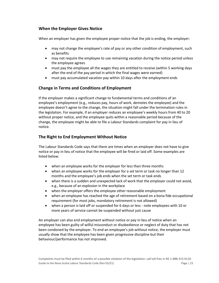# **When the Employer Gives Notice**

When an employer has given the employee proper notice that the job is ending, the employer:

- may not change the employee's rate of pay or any other condition of employment, such as benefits
- may not require the employee to use remaining vacation during the notice period unless the employee agrees
- must pay the employee all the wages they are entitled to receive (within 5 working days after the end of the pay period in which the final wages were earned)
- must pay accumulated vacation pay within 10 days after the employment ends

# **Change in Terms and Conditions of Employment**

If the employer makes a significant change to fundamental terms and conditions of an employee's employment (e.g., reduces pay, hours of work, demotes the employee) and the employee doesn't agree to the change, the situation might fall under the termination rules in the legislation. For example, if an employer reduces an employee's weekly hours from 40 to 20 without proper notice, and the employee quits within a reasonable period because of the change, the employee might be able to file a Labour Standards complaint for pay in lieu of notice.

# **The Right to End Employment Without Notice**

The Labour Standards Code says that there are times when an employer does not have to give notice or pay in lieu of notice that the employee will be fired or laid off. Some examples are listed below:

- when an employee works for the employer for less than three months
- when an employee works for the employer for a set term or task no longer than 12 months and the employee's job ends when the set term or task ends
- when there is a sudden and unexpected lack of work that the employer could not avoid, e.g., because of an explosion in the workplace
- when the employer offers the employee other reasonable employment
- when an employee has reached the age of retirement based on a bona fide occupational requirement (for most jobs, mandatory retirement is not allowed)
- when a person is laid off or suspended for 6 days or less note employees with 10 or more years of service cannot be suspended without just cause

An employer can also end employment without notice or pay in lieu of notice when an employee has been guilty of wilful misconduct or disobedience or neglect of duty that has not been condoned by the employer. To end an employee's job without notice, the employer must usually show that the employee has been given progressive discipline but their behaviour/performance has not improved.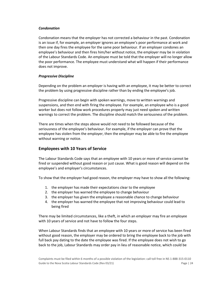#### *Condonation*

Condonation means that the employer has not corrected a behaviour in the past. Condonation is an issue if, for example, an employer ignores an employee's poor performance at work and then one day fires the employee for the same poor behaviour. If an employer condones an employee's behaviour and then fires him/her without notice, the employer may be in violation of the Labour Standards Code. An employee must be told that the employer will no longer allow the poor performance. The employee must understand what will happen if their performance does not improve.

#### *Progressive Discipline*

Depending on the problem an employer is having with an employee, it may be better to correct the problem by using progressive discipline rather than by ending the employee's job.

Progressive discipline can begin with spoken warnings, move to written warnings and suspensions, and then end with firing the employee. For example, an employee who is a good worker but does not follow work procedures properly may just need spoken and written warnings to correct the problem. The discipline should match the seriousness of the problem.

There are times when the steps above would not need to be followed because of the seriousness of the employee's behaviour. For example, if the employer can prove that the employee has stolen from the employer, then the employer may be able to fire the employee without warning or notice.

# **Employees with 10 Years of Service**

The Labour Standards Code says that an employee with 10 years or more of service cannot be fired or suspended without good reason or just cause. What is good reason will depend on the employee's and employer's circumstances.

To show that the employer had good reason, the employer may have to show all the following:

- 1. the employer has made their expectations clear to the employee
- 2. the employer has warned the employee to change behaviour
- 3. the employer has given the employee a reasonable chance to change behaviour
- 4. the employer has warned the employee that not improving behaviour could lead to being fired

There may be limited circumstances, like a theft, in which an employer may fire an employee with 10 years of service and not have to follow the four steps.

When Labour Standards finds that an employee with 10 years or more of service has been fired without good reason, the employer may be ordered to bring the employee back to the job with full back pay dating to the date the employee was fired. If the employee does not wish to go back to the job, Labour Standards may order pay in lieu of reasonable notice, which could be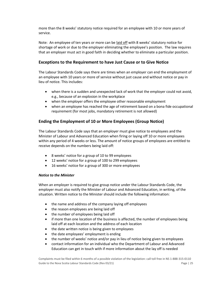more than the 8 weeks' statutory notice required for an employee with 10 or more years of service.

Note: An employee of ten years or more can be laid off with 8 weeks' statutory notice for shortage of work or due to the employer eliminating the employee's position. The law requires that an employer must act in good faith in deciding whether to eliminate a particular position.

# **Exceptions to the Requirement to have Just Cause or to Give Notice**

The Labour Standards Code says there are times when an employer can end the employment of an employee with 10 years or more of service without just cause and without notice or pay in lieu of notice. This includes:

- when there is a sudden and unexpected lack of work that the employer could not avoid, e.g., because of an explosion in the workplace
- when the employer offers the employee other reasonable employment
- when an employee has reached the age of retirement based on a bona fide occupational requirement (for most jobs, mandatory retirement is not allowed)

# **Ending the Employment of 10 or More Employees (Group Notice)**

The Labour Standards Code says that an employer must give notice to employees and the Minister of Labour and Advanced Education when firing or laying off 10 or more employees within any period of 4 weeks or less. The amount of notice groups of employees are entitled to receive depends on the numbers being laid off:

- 8 weeks' notice for a group of 10 to 99 employees
- 12 weeks' notice for a group of 100 to 299 employees
- 16 weeks' notice for a group of 300 or more employees

#### *Notice to the Minister*

When an employer is required to give group notice under the Labour Standards Code, the employer must also notify the Minister of Labour and Advanced Education, in writing, of the situation. Written notice to the Minister should include the following information:

- the name and address of the company laying off employees
- the reason employees are being laid off
- the number of employees being laid off
- if more than one location of the business is affected, the number of employees being laid off at each location and the address of each location
- the date written notice is being given to employees
- the date employees' employment is ending
- the number of weeks' notice and/or pay in lieu of notice being given to employees
- contact information for an individual who the Department of Labour and Advanced Education can get in touch with if more information about the lay off is needed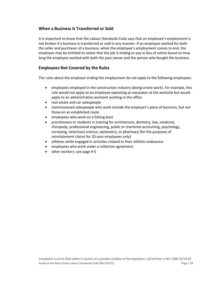# **When a Business Is Transferred or Sold**

It is important to know that the Labour Standards Code says that an employee's employment is not broken if a business is transferred or sold in any manner. If an employee worked for both the seller and purchaser of a business, when the employee's employment comes to end, the employee may be entitled to notice that the job is ending or pay in lieu of notice based on how long the employee worked with both the past owner and the person who bought the business.

# **Employees Not Covered by the Rules**

The rules about the employer ending the employment do not apply to the following employees:

- employees employed in the construction industry (doing onsite work). For example, this rule would not apply to an employee operating an excavator at the worksite but would apply to an administrative assistant working in the office
- real estate and car salespeople
- commissioned salespeople who work outside the employer's place of business, but not those on an established route
- employees who work on a fishing boat
- practitioners or students in training for architecture, dentistry, law, medicine, chiropody, professional engineering, public or chartered accounting, psychology, surveying, veterinary science, optometry, or pharmacy (for the purposes of reinstatement claims for 10-year employees only)
- athletes while engaged in activities related to their athletic endeavour
- employees who work under a collective agreement
- other workers: see page 4-5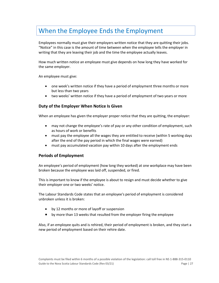# <span id="page-26-0"></span>When the Employee Ends the Employment

Employees normally must give their employers written notice that they are quitting their jobs. "Notice" in this case is the amount of time between when the employee tells the employer in writing that they are leaving their job and the time the employee actually leaves.

How much written notice an employee must give depends on how long they have worked for the same employer.

An employee must give:

- one week's written notice if they have a period of employment three months or more but less than two years
- two weeks' written notice if they have a period of employment of two years or more

#### **Duty of the Employer When Notice Is Given**

When an employee has given the employer proper notice that they are quitting, the employer:

- may not change the employee's rate of pay or any other condition of employment, such as hours of work or benefits
- must pay the employee all the wages they are entitled to receive (within 5 working days after the end of the pay period in which the final wages were earned)
- must pay accumulated vacation pay within 10 days after the employment ends

#### **Periods of Employment**

An employee's period of employment (how long they worked) at one workplace may have been broken because the employee was laid off, suspended, or fired.

This is important to know if the employee is about to resign and must decide whether to give their employer one or two weeks' notice.

The Labour Standards Code states that an employee's period of employment is considered unbroken unless it is broken:

- by 12 months or more of layoff or suspension
- by more than 13 weeks that resulted from the employer firing the employee

Also, if an employee quits and is rehired, their period of employment is broken, and they start a new period of employment based on their rehire date.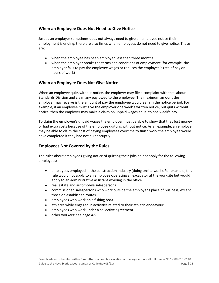# **When an Employee Does Not Need to Give Notice**

Just as an employer sometimes does not always need to give an employee notice their employment is ending, there are also times when employees do not need to give notice. These are:

- when the employee has been employed less than three months
- when the employer breaks the terms and conditions of employment (for example, the employer fails to pay the employee wages or reduces the employee's rate of pay or hours of work)

# **When an Employee Does Not Give Notice**

When an employee quits without notice, the employer may file a complaint with the Labour Standards Division and claim any pay owed to the employee. The maximum amount the employer may receive is the amount of pay the employee would earn in the notice period. For example, if an employee must give the employer one week's written notice, but quits without notice, then the employer may make a claim on unpaid wages equal to one week's pay.

To claim the employee's unpaid wages the employer must be able to show that they lost money or had extra costs because of the employee quitting without notice. As an example, an employer may be able to claim the cost of paying employees overtime to finish work the employee would have completed if they had not quit abruptly.

# **Employees Not Covered by the Rules**

The rules about employees giving notice of quitting their jobs do not apply for the following employees:

- employees employed in the construction industry (doing onsite work). For example, this rule would not apply to an employee operating an excavator at the worksite but would apply to an administrative assistant working in the office
- real estate and automobile salespersons
- commissioned salespersons who work outside the employer's place of business, except those on established routes
- employees who work on a fishing boat
- athletes while engaged in activities related to their athletic endeavour
- employees who work under a collective agreement
- other workers: see page 4-5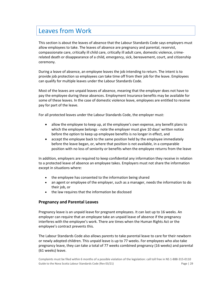# <span id="page-28-0"></span>Leaves from Work

This section is about the leaves of absence that the Labour Standards Code says employers must allow employees to take. The leaves of absence are pregnancy and parental, reservist, compassionate care, critically ill child care, critically ill adult care, domestic violence, crimerelated death or disappearance of a child, emergency, sick, bereavement, court, and citizenship ceremony.

During a leave of absence, an employee leaves the job intending to return. The intent is to provide job protection so employees can take time off from their job for the leave. Employees can qualify for multiple leaves under the Labour Standards Code.

Most of the leaves are unpaid leaves of absence, meaning that the employer does not have to pay the employee during these absences. Employment Insurance benefits may be available for some of these leaves. In the case of domestic violence leave, employees are entitled to receive pay for part of the leave.

For all protected leaves under the Labour Standards Code, the employer must:

- allow the employee to keep up, at the employee's own expense, any benefit plans to which the employee belongs - note the employer must give 10 days' written notice before the option to keep up employee benefits is no longer in effect, and
- accept the employee back to the same position held by the employee immediately before the leave began, or, where that position is not available, in a comparable position with no loss of seniority or benefits when the employee returns from the leave

In addition, employers are required to keep confidential any information they receive in relation to a protected leave of absence an employee takes. Employers must not share the information except in situations where:

- the employee has consented to the information being shared
- an agent or employee of the employer, such as a manager, needs the information to do their job, or
- the law requires that the information be disclosed

#### **Pregnancy and Parental Leaves**

Pregnancy leave is an unpaid leave for pregnant employees. It can last up to 16 weeks. An employer can require that an employee take an unpaid leave of absence if the pregnancy interferes with the employee's work. There are times when the Human Rights Act or the employee's contract prevents this.

The Labour Standards Code also allows parents to take parental leave to care for their newborn or newly adopted children. This unpaid leave is up to 77 weeks. For employees who also take pregnancy leave, they can take a total of 77 weeks combined pregnancy (16 weeks) and parental (61 weeks) leave.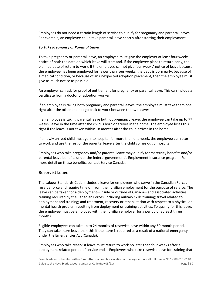Employees do not need a certain length of service to qualify for pregnancy and parental leaves. For example, an employee could take parental leave shortly after starting their employment.

#### *To Take Pregnancy or Parental Leave*

To take pregnancy or parental leave, an employee must give the employer at least four weeks' notice of both the date on which leave will start and, if the employee plans to return early, the planned date of return to work. If the employee cannot give four weeks' notice of leave because the employee has been employed for fewer than four weeks, the baby is born early, because of a medical condition, or because of an unexpected adoption placement, then the employee must give as much notice as possible.

An employer can ask for proof of entitlement for pregnancy or parental leave. This can include a certificate from a doctor or adoption worker.

If an employee is taking both pregnancy and parental leaves, the employee must take them one right after the other and not go back to work between the two leaves.

If an employee is taking parental leave but not pregnancy leave, the employee can take up to 77 weeks' leave in the time after the child is born or arrives in the home. The employee loses this right if the leave is not taken within 18 months after the child arrives in the home.

If a newly arrived child must go into hospital for more than one week, the employee can return to work and use the rest of the parental leave after the child comes out of hospital.

Employees who take pregnancy and/or parental leave may qualify for maternity benefits and/or parental leave benefits under the federal government's Employment Insurance program. For more detail on these benefits, contact Service Canada.

#### **Reservist Leave**

The Labour Standards Code includes a leave for employees who serve in the Canadian Forces reserve force and require time off from their civilian employment for the purpose of service. The leave can be taken for a deployment—inside or outside of Canada—and associated activities; training required by the Canadian Forces, including military skills training; travel related to deployment and training; and treatment, recovery or rehabilitation with respect to a physical or mental health problem resulting from deployment or training activities. To qualify for this leave, the employee must be employed with their civilian employer for a period of at least three months.

Eligible employees can take up to 24 months of reservist leave within any 60-month period. They can take more leave than this if the leave is required as a result of a national emergency under the Emergencies Act (Canada).

Employees who take reservist leave must return to work no later than four weeks after a deployment related period of service ends. Employees who take reservist leave for training that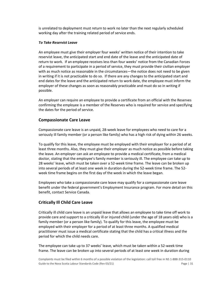is unrelated to deployment must return to work no later than the next regularly scheduled working day after the training related period of service ends.

#### *To Take Reservist Leave*

An employee must give their employer four weeks' written notice of their intention to take reservist leave, the anticipated start and end date of the leave and the anticipated date of return to work. If an employee receives less than four weeks' notice from the Canadian Forces of a requirement to participate in a period of service, they must provide their civilian employer with as much notice as reasonable in the circumstances—the notice does not need to be given in writing if it is not practicable to do so. If there are any changes to the anticipated start and end dates for the leave and the anticipated return to work date, the employee must inform the employer of these changes as soon as reasonably practicable and must do so in writing if possible.

An employer can require an employee to provide a certificate from an official with the Reserves confirming the employee is a member of the Reserves who is required for service and specifying the dates for the period of service.

# **Compassionate Care Leave**

Compassionate care leave is an unpaid, 28-week leave for employees who need to care for a seriously ill family member (or a person like family) who has a high risk of dying within 26 weeks.

To qualify for this leave, the employee must be employed with their employer for a period of at least three months. Also, they must give their employer as much notice as possible before taking the leave. An employer can ask an employee to provide a medical certificate, from a medical doctor, stating that the employee's family member is seriously ill. The employee can take up to 28 weeks' leave, which must be taken over a 52-week time frame. The leave can be broken up into several periods of at least one week in duration during the 52-week time frame. The 52 week time frame begins on the first day of the week in which the leave began.

Employees who take a compassionate care leave may qualify for a compassionate care leave benefit under the federal government's Employment Insurance program. For more detail on this benefit, contact Service Canada.

# **Critically Ill Child Care Leave**

Critically ill child care leave is an unpaid leave that allows an employee to take time off work to provide care and support to a critically ill or injured child (under the age of 18 years old) who is a family member (or a person like family). To qualify for this leave, the employee must be employed with their employer for a period of at least three months. A qualified medical practitioner must issue a medical certificate stating that the child has a critical illness and the period for which the child needs care.

The employee can take up to 37 weeks' leave, which must be taken within a 52-week time frame. The leave can be broken up into several periods of at least one week in duration during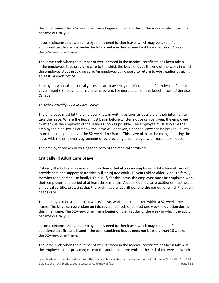this time frame. The 52-week time frame begins on the first day of the week in which the child became critically ill.

In some circumstances, an employee may need further leave, which may be taken if an additional certificate is issued—the total combined leaves must not be more than 37 weeks in the 52-week time frame.

The leave ends when the number of weeks stated in the medical certificate has been taken. If the employee stops providing care to the child, the leave ends at the end of the week in which the employee stops providing care. An employee can choose to return to work earlier by giving at least 14 days' notice.

Employees who take a critically ill child care leave may qualify for a benefit under the federal government's Employment Insurance program. For more detail on this benefit, contact Service Canada.

#### *To Take Critically Ill Child Care Leave*

The employee must let the employer know in writing as soon as possible of their intention to take the leave. Where the leave must begin before written notice can be given, the employee must advise the employer of the leave as soon as possible. The employee must also give the employer a plan setting out how the leave will be taken, since the leave can be broken up into more than one period over the 52-week time frame. This leave plan can be changed during the leave with the employer's agreement or by providing the employer with reasonable notice.

The employer can ask in writing for a copy of the medical certificate.

# **Critically Ill Adult Care Leave**

Critically ill adult care leave is an unpaid leave that allows an employee to take time off work to provide care and support to a critically ill or injured adult (18 years old or older) who is a family member (or a person like family). To qualify for this leave, the employee must be employed with their employer for a period of at least three months. A qualified medical practitioner must issue a medical certificate stating that the adult has a critical illness and the period for which the adult needs care.

The employee can take up to 16 weeks' leave, which must be taken within a 52-week time frame. The leave can be broken up into several periods of at least one week in duration during this time frame. The 52-week time frame begins on the first day of the week in which the adult became critically ill.

In some circumstances, an employee may need further leave, which may be taken if an additional certificate is issued—the total combined leaves must not be more than 16 weeks in the 52-week time frame.

The leave ends when the number of weeks stated in the medical certificate has been taken. If the employee stops providing care to the adult, the leave ends at the end of the week in which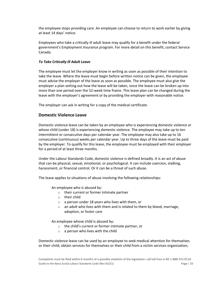the employee stops providing care. An employee can choose to return to work earlier by giving at least 14 days' notice.

Employees who take a critically ill adult leave may qualify for a benefit under the federal government's Employment Insurance program. For more detail on this benefit, contact Service Canada.

#### *To Take Critically Ill Adult Leave*

The employee must let the employer know in writing as soon as possible of their intention to take the leave. Where the leave must begin before written notice can be given, the employee must advise the employer of the leave as soon as possible. The employee must also give the employer a plan setting out how the leave will be taken, since the leave can be broken up into more than one period over the 52-week time frame. This leave plan can be changed during the leave with the employer's agreement or by providing the employer with reasonable notice.

The employer can ask in writing for a copy of the medical certificate.

# **Domestic Violence Leave**

Domestic violence leave can be taken by an employee who is experiencing domestic violence or whose child (under 18) is experiencing domestic violence. The employee may take up to ten intermittent or consecutive days per calendar year. The employee may also take up to 16 consecutive (continuous) weeks per calendar year. Up to three days of the leave must be paid by the employer. To qualify for this leave, the employee must be employed with their employer for a period of at least three months.

Under the Labour Standards Code, domestic violence is defined broadly. It is an act of abuse that can be physical, sexual, emotional, or psychological. It can include coercion, stalking, harassment, or financial control. Or it can be a threat of such abuse.

The leave applies to situations of abuse involving the following relationships:

An employee who is abused by:

- o their current or former intimate partner
- o their child
- o a person under 18 years who lives with them, or
- $\circ$  an adult who lives with them and is related to them by blood, marriage, adoption, or foster care

An employee whose child is abused by:

- o the child's current or former intimate partner, or
- $\circ$  a person who lives with the child

Domestic violence leave can be used by an employee to seek medical attention for themselves or their child; obtain services for themselves or their child from a victim services organization,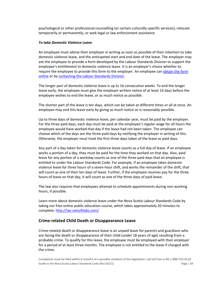psychological or other professional counselling (or certain culturally-specific services); relocate temporarily or permanently; or seek legal or law enforcement assistance.

#### *To take Domestic Violence Leave*

An employee must advise their employer in writing as soon as possible of their intention to take domestic violence leave, and the anticipated start and end date of the leave. The employer may ask the employee to provide a form developed by the Labour Standards Division to support the employee's entitlement to domestic violence leave. It is an employer's choice whether to require the employee to provide this form to the employer. An employee can obtain the form [online](https://novascotia.ca/lae/employmentrights/docs/Domestic-Violence-Leave-Notification-Form.pdf) or by [contacting the Labour Standards Division.](https://novascotia.ca/lae/labourstandards/contact.asp)

The longer part of domestic violence leave is up to 16 consecutive weeks. To end the longer leave early, the employee must give the employer written notice of at least 14 days before the employee wishes to end the leave, or as much notice as possible.

The shorter part of the leave is ten days, which can be taken at different times or all at once. An employee may end this leave early by giving as much notice as is reasonably possible.

Up to three days of domestic violence leave, per calendar year, must be paid by the employer. For the three paid days, each day must be paid at the employee's regular wage for all hours the employee would have worked that day if the leave had not been taken. The employee can choose which of the days are the three paid days by notifying the employer in writing of this. Otherwise, the employer must treat the first three days taken of the leave as paid days.

Any part of a day taken for domestic violence leave counts as a full day of leave. If an employee works a portion of a day, they must be paid for the time they worked on that day. Also, paid leave for any portion of a workday counts as one of the three paid days that an employee is entitled to under the Labour Standards Code. For example, if an employee takes domestic violence leave for three hours of a seven-hour shift, and works the remainder of the shift, that will count as one of their ten days of leave. Further, if the employee receives pay for the three hours of leave on that day, it will count as one of the three days of paid leave.

The law also requires that employees attempt to schedule appointments during non-working hours, if possible.

Learn more about domestic violence leave under the Nova Scotia Labour Standards Code by taking our free online public education course, which takes approximately 20 minutes to complete[: http://lae.velsoftlabs.com/](http://lae.velsoftlabs.com/) 

# **Crime-related Child Death or Disappearance Leave**

Crime-related death or disappearance leave is an unpaid leave for parents and guardians who are facing the death or disappearance of their child (under 18 years of age) resulting from a probable crime. To qualify for this leave, the employee must be employed with their employer for a period of at least three months. The employee is not entitled to the leave if charged with the crime.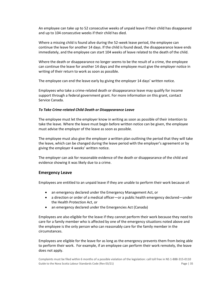An employee can take up to 52 consecutive weeks of unpaid leave if their child has disappeared and up to 104 consecutive weeks if their child has died.

Where a missing child is found alive during the 52-week leave period, the employee can continue the leave for another 14 days. If the child is found dead, the disappearance leave ends immediately, and the employee can start 104 weeks of leave related to the death of the child.

Where the death or disappearance no longer seems to be the result of a crime, the employee can continue the leave for another 14 days and the employee must give the employer notice in writing of their return to work as soon as possible.

The employee can end the leave early by giving the employer 14 days' written notice.

Employees who take a crime-related death or disappearance leave may qualify for income support through a federal government grant. For more information on this grant, contact Service Canada.

#### *To Take Crime-related Child Death or Disappearance Leave*

The employee must let the employer know in writing as soon as possible of their intention to take the leave. Where the leave must begin before written notice can be given, the employee must advise the employer of the leave as soon as possible.

The employee must also give the employer a written plan outlining the period that they will take the leave, which can be changed during the leave period with the employer's agreement or by giving the employer 4 weeks' written notice.

The employer can ask for reasonable evidence of the death or disappearance of the child and evidence showing it was likely due to a crime.

#### **Emergency Leave**

Employees are entitled to an unpaid leave if they are unable to perform their work because of:

- an emergency declared under the Emergency Management Act, or
- a direction or order of a medical officer—or a public health emergency declared—under the Health Protection Act, or
- an emergency declared under the Emergencies Act (Canada)

Employees are also eligible for the leave if they cannot perform their work because they need to care for a family member who is affected by one of the emergency situations noted above and the employee is the only person who can reasonably care for the family member in the circumstances.

Employees are eligible for the leave for as long as the emergency prevents them from being able to perform their work. For example, if an employee can perform their work remotely, the leave does not apply.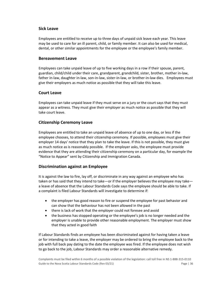# **Sick Leave**

Employees are entitled to receive up to three days of unpaid sick leave each year. This leave may be used to care for an ill parent, child, or family member. It can also be used for medical, dental, or other similar appointments for the employee or the employee's family member.

# **Bereavement Leave**

Employees can take unpaid leave of up to five working days in a row if their spouse, parent, guardian, child/child under their care, grandparent, grandchild, sister, brother, mother in-law, father in-law, daughter in-law, son-in-law, sister-in-law, or brother-in-law dies. Employees must give their employers as much notice as possible that they will take this leave.

# **Court Leave**

Employees can take unpaid leave if they must serve on a jury or the court says that they must appear as a witness. They must give their employer as much notice as possible that they will take court leave.

# **Citizenship Ceremony Leave**

Employees are entitled to take an unpaid leave of absence of up to one day, or less if the employee chooses, to attend their citizenship ceremony. If possible, employees must give their employer 14 days' notice that they plan to take the leave. If this is not possible, they must give as much notice as is reasonably possible. If the employer asks, the employee must provide evidence that they are attending their citizenship ceremony on a particular day, for example the "Notice to Appear" sent by Citizenship and Immigration Canada.

# **Discrimination against an Employee**

It is against the law to fire, lay off, or discriminate in any way against an employee who has taken or has said that they intend to take—or if the employer believes the employee may take a leave of absence that the Labour Standards Code says the employee should be able to take. If a complaint is filed Labour Standards will investigate to determine if:

- the employer has good reason to fire or suspend the employee for past behavior and can show that the behaviour has not been allowed in the past
- there is lack of work that the employer could not foresee and avoid
- the business has stopped operating or the employee's job is no longer needed and the employer is unable to provide other reasonable employment. The employer must show that they acted in good faith

If Labour Standards finds an employee has been discriminated against for having taken a leave or for intending to take a leave, the employer may be ordered to bring the employee back to the job with full back pay dating to the date the employee was fired. If the employee does not wish to go back to the job, Labour Standards may order a reasonable alternative remedy.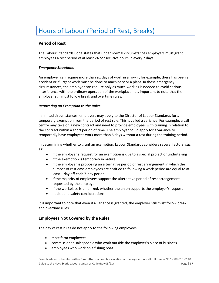# <span id="page-36-0"></span>Hours of Labour (Period of Rest, Breaks)

# **Period of Rest**

The Labour Standards Code states that under normal circumstances employers must grant employees a rest period of at least 24 consecutive hours in every 7 days.

#### *Emergency Situations*

An employer can require more than six days of work in a row if, for example, there has been an accident or if urgent work must be done to machinery or a plant. In these emergency circumstances, the employer can require only as much work as is needed to avoid serious interference with the ordinary operation of the workplace. It is important to note that the employer still must follow break and overtime rules.

#### *Requesting an Exemption to the Rules*

In limited circumstances, employers may apply to the Director of Labour Standards for a temporary exemption from the period of rest rule. This is called a variance. For example, a call centre may take on a new contract and need to provide employees with training in relation to the contract within a short period of time. The employer could apply for a variance to temporarily have employees work more than 6 days without a rest during the training period.

In determining whether to grant an exemption, Labour Standards considers several factors, such as:

- if the employer's request for an exemption is due to a special project or undertaking
- if the exemption is temporary in nature
- if the employer is proposing an alternative period of rest arrangement in which the number of rest days employees are entitled to following a work period are equal to at least 1 day off each 7-day period
- if the majority of employees support the alternative period of rest arrangement requested by the employer
- if the workplace is unionized, whether the union supports the employer's request
- health and safety considerations

It is important to note that even if a variance is granted, the employer still must follow break and overtime rules.

#### **Employees Not Covered by the Rules**

The day of rest rules do not apply to the following employees:

- most farm employees
- commissioned salespeople who work outside the employer's place of business
- employees who work on a fishing boat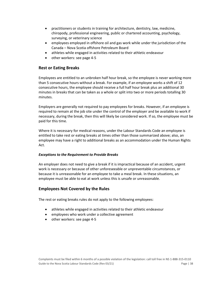- practitioners or students in training for architecture, dentistry, law, medicine, chiropody, professional engineering, public or chartered accounting, psychology, surveying, or veterinary science
- employees employed in offshore oil and gas work while under the jurisdiction of the Canada – Nova Scotia offshore Petroleum Board
- athletes while engaged in activities related to their athletic endeavour
- other workers: see page 4-5

# **Rest or Eating Breaks**

Employees are entitled to an unbroken half hour break, so the employee is never working more than 5 consecutive hours without a break. For example, if an employee works a shift of 12 consecutive hours, the employee should receive a full half hour break plus an additional 30 minutes in breaks that can be taken as a whole or split into two or more periods totalling 30 minutes.

Employers are generally not required to pay employees for breaks. However, if an employee is required to remain at the job site under the control of the employer and be available to work if necessary, during the break, then this will likely be considered work. If so, the employee must be paid for this time.

Where it is necessary for medical reasons, under the Labour Standards Code an employee is entitled to take rest or eating breaks at times other than those summarized above; also, an employee may have a right to additional breaks as an accommodation under the Human Rights Act.

#### *Exceptions to the Requirement to Provide Breaks*

An employer does not need to give a break if it is impractical because of an accident, urgent work is necessary or because of other unforeseeable or unpreventable circumstances, or because it is unreasonable for an employee to take a meal break. In these situations, an employee must be able to eat at work unless this is unsafe or unreasonable.

# **Employees Not Covered by the Rules**

The rest or eating breaks rules do not apply to the following employees:

- athletes while engaged in activities related to their athletic endeavour
- employees who work under a collective agreement
- other workers: see page 4-5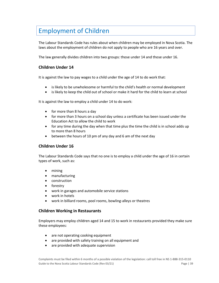# <span id="page-38-0"></span>Employment of Children

The Labour Standards Code has rules about when children may be employed in Nova Scotia. The laws about the employment of children do not apply to people who are 16 years and over.

The law generally divides children into two groups: those under 14 and those under 16.

# **Children Under 14**

It is against the law to pay wages to a child under the age of 14 to do work that:

- is likely to be unwholesome or harmful to the child's health or normal development
- is likely to keep the child out of school or make it hard for the child to learn at school

It is against the law to employ a child under 14 to do work:

- for more than 8 hours a day
- for more than 3 hours on a school day unless a certificate has been issued under the Education Act to allow the child to work
- for any time during the day when that time plus the time the child is in school adds up to more than 8 hours
- between the hours of 10 pm of any day and 6 am of the next day

# **Children Under 16**

The Labour Standards Code says that no one is to employ a child under the age of 16 in certain types of work, such as:

- mining
- manufacturing
- construction
- forestry
- work in garages and automobile service stations
- work in hotels
- work in billiard rooms, pool rooms, bowling-alleys or theatres

#### **Children Working in Restaurants**

Employers may employ children aged 14 and 15 to work in restaurants provided they make sure these employees:

- are not operating cooking equipment
- are provided with safety training on all equipment and
- are provided with adequate supervision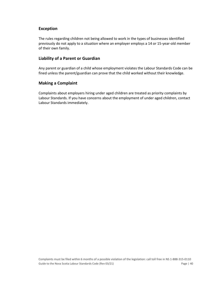# **Exception**

The rules regarding children not being allowed to work in the types of businesses identified previously do not apply to a situation where an employer employs a 14 or 15-year-old member of their own family.

# **Liability of a Parent or Guardian**

Any parent or guardian of a child whose employment violates the Labour Standards Code can be fined unless the parent/guardian can prove that the child worked without their knowledge.

#### **Making a Complaint**

Complaints about employers hiring under aged children are treated as priority complaints by Labour Standards. If you have concerns about the employment of under aged children, contact Labour Standards immediately.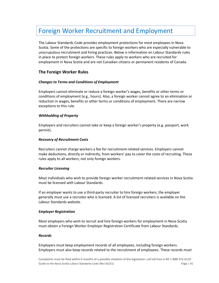# <span id="page-40-0"></span>Foreign Worker Recruitment and Employment

The Labour Standards Code provides employment protections for most employees in Nova Scotia. Some of the protections are specific to foreign workers who are especially vulnerable to unscrupulous recruitment and hiring practices. Below is information on Labour Standards rules in place to protect foreign workers. These rules apply to workers who are recruited for employment in Nova Scotia and are not Canadian citizens or permanent residents of Canada.

# **The Foreign Worker Rules**

#### *Changes to Terms and Conditions of Employment*

Employers cannot eliminate or reduce a foreign worker's wages, benefits or other terms or conditions of employment (e.g., hours). Also, a foreign worker cannot agree to an elimination or reduction in wages, benefits or other terms or conditions of employment. There are narrow exceptions to this rule.

#### *Withholding of Property*

Employers and recruiters cannot take or keep a foreign worker's property (e.g. passport, work permit).

#### *Recovery of Recruitment Costs*

Recruiters cannot charge workers a fee for recruitment-related services. Employers cannot make deductions, directly or indirectly, from workers' pay to cover the costs of recruiting. These rules apply to all workers, not only foreign workers.

#### *Recruiter Licensing*

Most individuals who wish to provide foreign worker recruitment-related services in Nova Scotia must be licensed with Labour Standards.

If an employer wants to use a third-party recruiter to hire foreign workers, the employer generally must use a recruiter who is licensed. A list of licensed recruiters is available on the Labour Standards website.

#### *Employer Registration*

Most employers who wish to recruit and hire foreign workers for employment in Nova Scotia must obtain a Foreign Worker Employer Registration Certificate from Labour Standards.

#### *Records*

Employers must keep employment records of all employees, including foreign workers. Employers must also keep records related to the recruitment of employees. These records must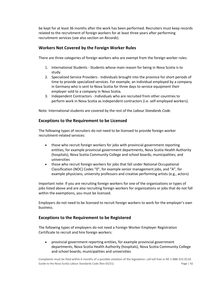be kept for at least 36 months after the work has been performed. Recruiters must keep records related to the recruitment of foreign workers for at least three years after performing recruitment services (see also section on *Records*).

# **Workers Not Covered by the Foreign Worker Rules**

There are three categories of foreign workers who are exempt from the foreign worker rules:

- 1. International Students Students whose main reason for being in Nova Scotia is to study.
- 2. Specialized Service Providers Individuals brought into the province for short periods of time to provide specialized services. For example, an individual employed by a company in Germany who is sent to Nova Scotia for three days to service equipment their employer sold to a company in Nova Scotia.
- 3. Independent Contractors Individuals who are recruited from other countries to perform work in Nova Scotia as independent contractors (i.e. self-employed workers).

Note: International students are covered by the rest of the *Labour Standards Code*.

# **Exceptions to the Requirement to be Licensed**

The following types of recruiters do not need to be licensed to provide foreign worker recruitment-related services:

- those who recruit foreign workers for jobs with provincial government reporting entities, for example provincial government departments, Nova Scotia Health Authority (hospitals), Nova Scotia Community College and school boards; municipalities; and universities
- those who recruit foreign workers for jobs that fall under National Occupational Classification (NOC) Codes "0", for example senior management jobs, and "A", for example physicians, university professors and creative performing artists (e.g., actors)

Important note: If you are recruiting foreign workers for one of the organizations or types of jobs listed above and are also recruiting foreign workers for organizations or jobs that do not fall within the exemptions, you must be licensed.

Employers do not need to be licensed to recruit foreign workers to work for the employer's own business.

# **Exceptions to the Requirement to be Registered**

The following types of employers do not need a Foreign Worker Employer Registration Certificate to recruit and hire foreign workers:

• provincial government reporting entities, for example provincial government departments, Nova Scotia Health Authority (hospitals), Nova Scotia Community College and school boards; municipalities and universities

Complaints must be filed within 6 months of a possible violation of the legislation: call toll free in NS 1-888-315-0110 Guide to the Nova Scotia Labour Standards Code (Rev 03/21) Code Property Controller and Magnetic Page | 42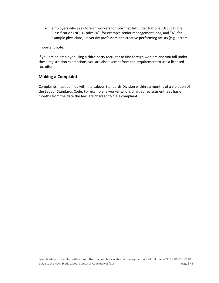• employers who seek foreign workers for jobs that fall under National Occupational Classification (NOC) Codes "0", for example senior management jobs, and "A", for example physicians, university professors and creative performing artists (e.g., actors)

Important note:

If you are an employer using a third-party recruiter to find foreign workers and you fall under these registration exemptions, you are also exempt from the requirement to use a licensed recruiter.

# **Making a Complaint**

Complaints must be filed with the Labour Standards Division within six months of a violation of the Labour Standards Code. For example, a worker who is charged recruitment fees has 6 months from the date the fees are charged to file a complaint.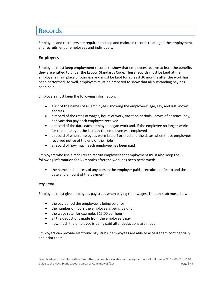# <span id="page-43-0"></span>Records

Employers and recruiters are required to keep and maintain records relating to the employment and recruitment of employees and individuals.

# **Employers**

Employers must keep employment records to show that employees receive at least the benefits they are entitled to under the Labour Standards Code. These records must be kept at the employer's main place of business and must be kept for at least 36 months after the work has been performed. As well, employers must be prepared to show that all outstanding pay has been paid.

Employers must keep the following information:

- a list of the names of all employees, showing the employees' age, sex, and last known address
- a record of the rates of wages, hours of work, vacation periods, leaves of absence, pay, and vacation pay each employee received
- a record of the date each employee began work and, if the employee no longer works for that employer, the last day the employee was employed
- a record of when employees were laid off or fired and the dates when those employees received notice of the end of their jobs
- a record of how much each employee has been paid

Employers who use a recruiter to recruit employees for employment must also keep the following information for 36 months after the work has been performed:

• the name and address of any person the employer paid a recruitment fee to and the date and amount of the payment

#### *Pay Stubs*

Employers must give employees pay stubs when paying their wages. The pay stub must show:

- the pay period the employee is being paid for
- the number of hours the employee is being paid for
- the wage rate (for example, \$15.00 per hour)
- all the deductions made from the employee's pay
- how much the employee is being paid after deductions are made

Employers can provide electronic pay stubs if employees are able to access them confidentially and print them.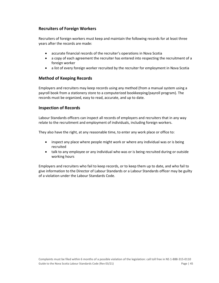# **Recruiters of Foreign Workers**

Recruiters of foreign workers must keep and maintain the following records for at least three years after the records are made:

- accurate financial records of the recruiter's operations in Nova Scotia
- a copy of each agreement the recruiter has entered into respecting the recruitment of a foreign worker
- a list of every foreign worker recruited by the recruiter for employment in Nova Scotia

# **Method of Keeping Records**

Employers and recruiters may keep records using any method (from a manual system using a payroll book from a stationery store to a computerized bookkeeping/payroll program). The records must be organized, easy to read, accurate, and up to date.

# **Inspection of Records**

Labour Standards officers can inspect all records of employers and recruiters that in any way relate to the recruitment and employment of individuals, including foreign workers.

They also have the right, at any reasonable time, to enter any work place or office to:

- inspect any place where people might work or where any individual was or is being recruited
- talk to any employee or any individual who was or is being recruited during or outside working hours

Employers and recruiters who fail to keep records, or to keep them up to date, and who fail to give information to the Director of Labour Standards or a Labour Standards officer may be guilty of a violation under the Labour Standards Code.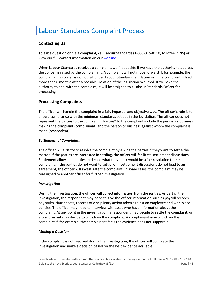# <span id="page-45-0"></span>Labour Standards Complaint Process

# **Contacting Us**

To ask a question or file a complaint, call Labour Standards (1-888-315-0110, toll-free in NS) or view our full contact information on ou[r website.](https://novascotia.ca/lae/labourstandards/contact.asp)

When Labour Standards receives a complaint, we first decide if we have the authority to address the concerns raised by the complainant. A complaint will not move forward if, for example, the complainant's concerns do not fall under Labour Standards legislation or if the complaint is filed more than 6 months after a possible violation of the legislation occurred. If we have the authority to deal with the complaint, it will be assigned to a Labour Standards Officer for processing.

# **Processing Complaints**

The officer will handle the complaint in a fair, impartial and objective way. The officer's role is to ensure compliance with the minimum standards set out in the legislation. The officer does not represent the parties to the complaint. "Parties" to the complaint include the person or business making the complaint (complainant) and the person or business against whom the complaint is made (respondent).

#### *Settlement of Complaints*

The officer will first try to resolve the complaint by asking the parties if they want to settle the matter. If the parties are interested in settling, the officer will facilitate settlement discussions. Settlement allows the parties to decide what they think would be a fair resolution to the complaint. If the parties do not want to settle, or if settlement discussions do not lead to an agreement, the officer will investigate the complaint. In some cases, the complaint may be reassigned to another officer for further investigation.

#### *Investigation*

During the investigation, the officer will collect information from the parties. As part of the investigation, the respondent may need to give the officer information such as payroll records, pay stubs, time sheets, records of disciplinary action taken against an employee and workplace policies. The officer may need to interview witnesses who have information about the complaint. At any point in the investigation, a respondent may decide to settle the complaint, or a complainant may decide to withdraw the complaint. A complainant may withdraw the complaint if, for example, the complainant feels the evidence does not support it.

#### *Making a Decision*

If the complaint is not resolved during the investigation, the officer will complete the investigation and make a decision based on the best evidence available.